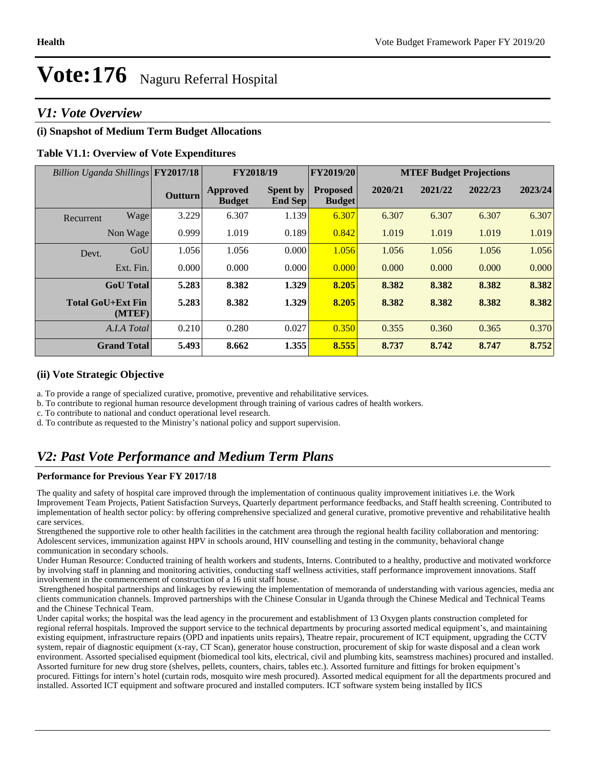## *V1: Vote Overview*

#### **(i) Snapshot of Medium Term Budget Allocations**

#### **Table V1.1: Overview of Vote Expenditures**

| Billion Uganda Shillings FY2017/18 |                  |         | FY2018/19                        |                                   | <b>FY2019/20</b>                 | <b>MTEF Budget Projections</b> |         |         |         |
|------------------------------------|------------------|---------|----------------------------------|-----------------------------------|----------------------------------|--------------------------------|---------|---------|---------|
|                                    |                  | Outturn | <b>Approved</b><br><b>Budget</b> | <b>Spent by</b><br><b>End Sep</b> | <b>Proposed</b><br><b>Budget</b> | 2020/21                        | 2021/22 | 2022/23 | 2023/24 |
| Recurrent                          | Wage             | 3.229   | 6.307                            | 1.139                             | 6.307                            | 6.307                          | 6.307   | 6.307   | 6.307   |
|                                    | Non Wage         | 0.999   | 1.019                            | 0.189                             | 0.842                            | 1.019                          | 1.019   | 1.019   | 1.019   |
| Devt.                              | GoU              | 1.056   | 1.056                            | 0.000                             | 1.056                            | 1.056                          | 1.056   | 1.056   | 1.056   |
|                                    | Ext. Fin.        | 0.000   | 0.000                            | 0.000                             | 0.000                            | 0.000                          | 0.000   | 0.000   | 0.000   |
|                                    | <b>GoU</b> Total | 5.283   | 8.382                            | 1.329                             | 8.205                            | 8.382                          | 8.382   | 8.382   | 8.382   |
| Total GoU+Ext Fin                  | (MTEF)           | 5.283   | 8.382                            | 1.329                             | 8.205                            | 8.382                          | 8.382   | 8.382   | 8.382   |
|                                    | A.I.A Total      | 0.210   | 0.280                            | 0.027                             | 0.350                            | 0.355                          | 0.360   | 0.365   | 0.370   |
| <b>Grand Total</b>                 |                  | 5.493   | 8.662                            | 1.355                             | 8.555                            | 8.737                          | 8.742   | 8.747   | 8.752   |

#### **(ii) Vote Strategic Objective**

a. To provide a range of specialized curative, promotive, preventive and rehabilitative services.

b. To contribute to regional human resource development through training of various cadres of health workers.

c. To contribute to national and conduct operational level research.

d. To contribute as requested to the Ministry's national policy and support supervision.

## *V2: Past Vote Performance and Medium Term Plans*

#### **Performance for Previous Year FY 2017/18**

The quality and safety of hospital care improved through the implementation of continuous quality improvement initiatives i.e. the Work Improvement Team Projects, Patient Satisfaction Surveys, Quarterly department performance feedbacks, and Staff health screening. Contributed to implementation of health sector policy: by offering comprehensive specialized and general curative, promotive preventive and rehabilitative health care services.

Strengthened the supportive role to other health facilities in the catchment area through the regional health facility collaboration and mentoring: Adolescent services, immunization against HPV in schools around, HIV counselling and testing in the community, behavioral change communication in secondary schools.

Under Human Resource: Conducted training of health workers and students, Interns. Contributed to a healthy, productive and motivated workforce by involving staff in planning and monitoring activities, conducting staff wellness activities, staff performance improvement innovations. Staff involvement in the commencement of construction of a 16 unit staff house.

 Strengthened hospital partnerships and linkages by reviewing the implementation of memoranda of understanding with various agencies, media and clients communication channels. Improved partnerships with the Chinese Consular in Uganda through the Chinese Medical and Technical Teams and the Chinese Technical Team.

Under capital works; the hospital was the lead agency in the procurement and establishment of 13 Oxygen plants construction completed for regional referral hospitals. Improved the support service to the technical departments by procuring assorted medical equipment's, and maintaining existing equipment, infrastructure repairs (OPD and inpatients units repairs), Theatre repair, procurement of ICT equipment, upgrading the CCTV system, repair of diagnostic equipment (x-ray, CT Scan), generator house construction, procurement of skip for waste disposal and a clean work environment. Assorted specialised equipment (biomedical tool kits, electrical, civil and plumbing kits, seamstress machines) procured and installed. Assorted furniture for new drug store (shelves, pellets, counters, chairs, tables etc.). Assorted furniture and fittings for broken equipment's procured. Fittings for intern's hotel (curtain rods, mosquito wire mesh procured). Assorted medical equipment for all the departments procured and installed. Assorted ICT equipment and software procured and installed computers. ICT software system being installed by IICS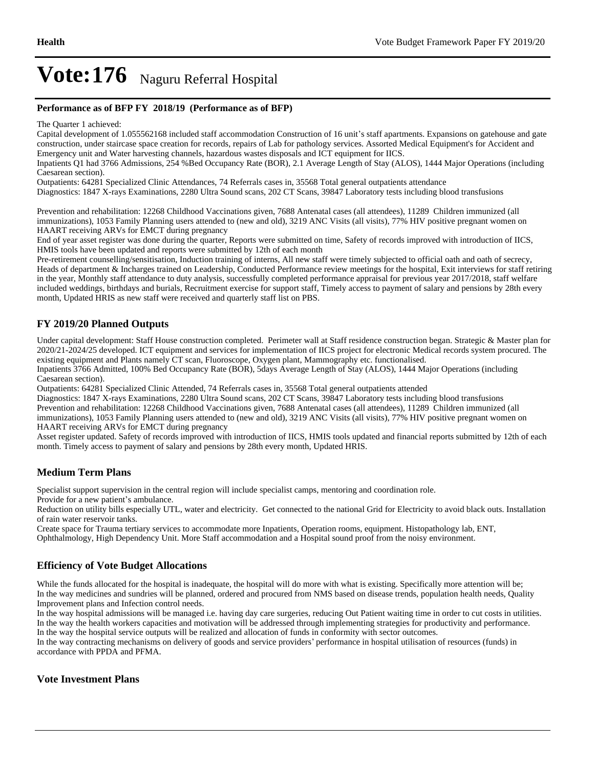#### **Performance as of BFP FY 2018/19 (Performance as of BFP)**

The Quarter 1 achieved:

Capital development of 1.055562168 included staff accommodation Construction of 16 unit's staff apartments. Expansions on gatehouse and gate construction, under staircase space creation for records, repairs of Lab for pathology services. Assorted Medical Equipment's for Accident and Emergency unit and Water harvesting channels, hazardous wastes disposals and ICT equipment for IICS.

Inpatients Q1 had 3766 Admissions, 254 %Bed Occupancy Rate (BOR), 2.1 Average Length of Stay (ALOS), 1444 Major Operations (including Caesarean section).

Outpatients: 64281 Specialized Clinic Attendances, 74 Referrals cases in, 35568 Total general outpatients attendance Diagnostics: 1847 X-rays Examinations, 2280 Ultra Sound scans, 202 CT Scans, 39847 Laboratory tests including blood transfusions

Prevention and rehabilitation: 12268 Childhood Vaccinations given, 7688 Antenatal cases (all attendees), 11289 Children immunized (all immunizations), 1053 Family Planning users attended to (new and old), 3219 ANC Visits (all visits), 77% HIV positive pregnant women on HAART receiving ARVs for EMCT during pregnancy

End of year asset register was done during the quarter, Reports were submitted on time, Safety of records improved with introduction of IICS, HMIS tools have been updated and reports were submitted by 12th of each month

Pre-retirement counselling/sensitisation, Induction training of interns, All new staff were timely subjected to official oath and oath of secrecy, Heads of department & Incharges trained on Leadership, Conducted Performance review meetings for the hospital, Exit interviews for staff retiring in the year, Monthly staff attendance to duty analysis, successfully completed performance appraisal for previous year 2017/2018, staff welfare included weddings, birthdays and burials, Recruitment exercise for support staff, Timely access to payment of salary and pensions by 28th every month, Updated HRIS as new staff were received and quarterly staff list on PBS.

#### **FY 2019/20 Planned Outputs**

Under capital development: Staff House construction completed. Perimeter wall at Staff residence construction began. Strategic & Master plan for 2020/21-2024/25 developed. ICT equipment and services for implementation of IICS project for electronic Medical records system procured. The existing equipment and Plants namely CT scan, Fluoroscope, Oxygen plant, Mammography etc. functionalised.

Inpatients 3766 Admitted, 100% Bed Occupancy Rate (BOR), 5days Average Length of Stay (ALOS), 1444 Major Operations (including Caesarean section).

Outpatients: 64281 Specialized Clinic Attended, 74 Referrals cases in, 35568 Total general outpatients attended

Diagnostics: 1847 X-rays Examinations, 2280 Ultra Sound scans, 202 CT Scans, 39847 Laboratory tests including blood transfusions Prevention and rehabilitation: 12268 Childhood Vaccinations given, 7688 Antenatal cases (all attendees), 11289 Children immunized (all immunizations), 1053 Family Planning users attended to (new and old), 3219 ANC Visits (all visits), 77% HIV positive pregnant women on HAART receiving ARVs for EMCT during pregnancy

Asset register updated. Safety of records improved with introduction of IICS, HMIS tools updated and financial reports submitted by 12th of each month. Timely access to payment of salary and pensions by 28th every month, Updated HRIS.

#### **Medium Term Plans**

Specialist support supervision in the central region will include specialist camps, mentoring and coordination role.

Provide for a new patient's ambulance.

Reduction on utility bills especially UTL, water and electricity. Get connected to the national Grid for Electricity to avoid black outs. Installation of rain water reservoir tanks.

Create space for Trauma tertiary services to accommodate more Inpatients, Operation rooms, equipment. Histopathology lab, ENT, Ophthalmology, High Dependency Unit. More Staff accommodation and a Hospital sound proof from the noisy environment.

#### **Efficiency of Vote Budget Allocations**

While the funds allocated for the hospital is inadequate, the hospital will do more with what is existing. Specifically more attention will be; In the way medicines and sundries will be planned, ordered and procured from NMS based on disease trends, population health needs, Quality Improvement plans and Infection control needs.

In the way hospital admissions will be managed i.e. having day care surgeries, reducing Out Patient waiting time in order to cut costs in utilities. In the way the health workers capacities and motivation will be addressed through implementing strategies for productivity and performance.

In the way the hospital service outputs will be realized and allocation of funds in conformity with sector outcomes. In the way contracting mechanisms on delivery of goods and service providers' performance in hospital utilisation of resources (funds) in accordance with PPDA and PFMA.

#### **Vote Investment Plans**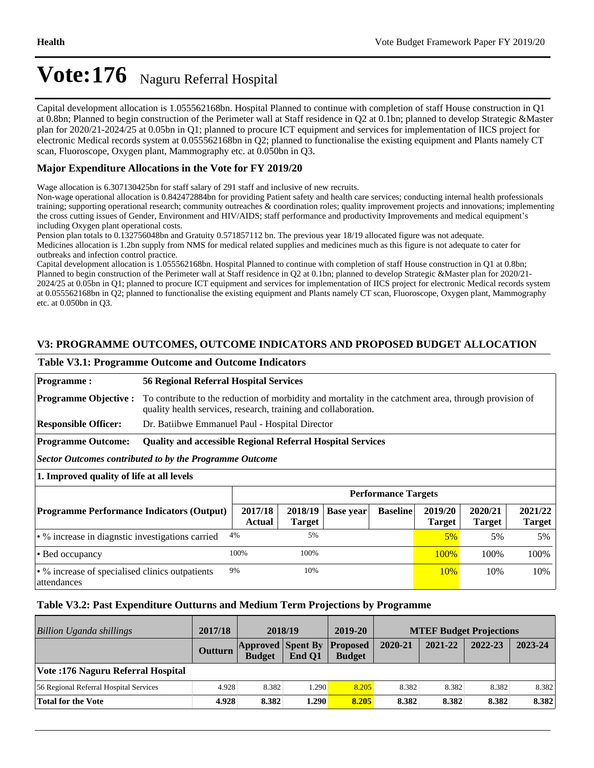Capital development allocation is 1.055562168bn. Hospital Planned to continue with completion of staff House construction in Q1 at 0.8bn; Planned to begin construction of the Perimeter wall at Staff residence in Q2 at 0.1bn; planned to develop Strategic &Master plan for 2020/21-2024/25 at 0.05bn in Q1; planned to procure ICT equipment and services for implementation of IICS project for electronic Medical records system at 0.055562168bn in Q2; planned to functionalise the existing equipment and Plants namely CT scan, Fluoroscope, Oxygen plant, Mammography etc. at 0.050bn in Q3.

### **Major Expenditure Allocations in the Vote for FY 2019/20**

Wage allocation is 6.307130425bn for staff salary of 291 staff and inclusive of new recruits.

Non-wage operational allocation is 0.842472884bn for providing Patient safety and health care services; conducting internal health professionals training; supporting operational research; community outreaches & coordination roles; quality improvement projects and innovations; implementing the cross cutting issues of Gender, Environment and HIV/AIDS; staff performance and productivity Improvements and medical equipment's including Oxygen plant operational costs.

Pension plan totals to 0.132756048bn and Gratuity 0.571857112 bn. The previous year 18/19 allocated figure was not adequate. Medicines allocation is 1.2bn supply from NMS for medical related supplies and medicines much as this figure is not adequate to cater for outbreaks and infection control practice.

Capital development allocation is 1.055562168bn. Hospital Planned to continue with completion of staff House construction in Q1 at 0.8bn; Planned to begin construction of the Perimeter wall at Staff residence in Q2 at 0.1bn; planned to develop Strategic &Master plan for 2020/21- 2024/25 at 0.05bn in Q1; planned to procure ICT equipment and services for implementation of IICS project for electronic Medical records system at 0.055562168bn in Q2; planned to functionalise the existing equipment and Plants namely CT scan, Fluoroscope, Oxygen plant, Mammography etc. at 0.050bn in Q3.

## **V3: PROGRAMME OUTCOMES, OUTCOME INDICATORS AND PROPOSED BUDGET ALLOCATION**

#### **Table V3.1: Programme Outcome and Outcome Indicators**

**Programme : 56 Regional Referral Hospital Services Programme Objective :** To contribute to the reduction of morbidity and mortality in the catchment area, through provision of quality health services, research, training and collaboration. **Responsible Officer:** Dr. Batiibwe Emmanuel Paul - Hospital Director **Programme Outcome: Quality and accessible Regional Referral Hospital Services** *Sector Outcomes contributed to by the Programme Outcome* **1. Improved quality of life at all levels Performance Targets Programme Performance Indicators (Output) 2017/18 Actual 2018/19 Target Base year Baseline 2019/20 Target 2020/21 Target 2021/22 Target**  • % increase in diagnstic investigations carried  $4\%$  5% 5% 5% 5% 5% 5% Bed occupancy 100% 100% 100% 100% 100% • % increase of specialised clinics outpatients attendances 9% 10% 10% 10% 10% 10% 10%

### **Table V3.2: Past Expenditure Outturns and Medium Term Projections by Programme**

| Billion Uganda shillings               | 2017/18 | 2018/19                                            |        | 2019-20       | <b>MTEF Budget Projections</b> |         |         |         |
|----------------------------------------|---------|----------------------------------------------------|--------|---------------|--------------------------------|---------|---------|---------|
|                                        | Outturn | <b>Approved Spent By Proposed</b><br><b>Budget</b> | End O1 | <b>Budget</b> | 2020-21                        | 2021-22 | 2022-23 | 2023-24 |
| Vote: 176 Naguru Referral Hospital     |         |                                                    |        |               |                                |         |         |         |
| 56 Regional Referral Hospital Services | 4.928   | 8.382                                              | .290   | 8.205         | 8.382                          | 8.382   | 8.382   | 8.382   |
| <b>Total for the Vote</b>              | 4.928   | 8.382                                              | 1.290  | 8.205         | 8.382                          | 8.382   | 8.382   | 8.382   |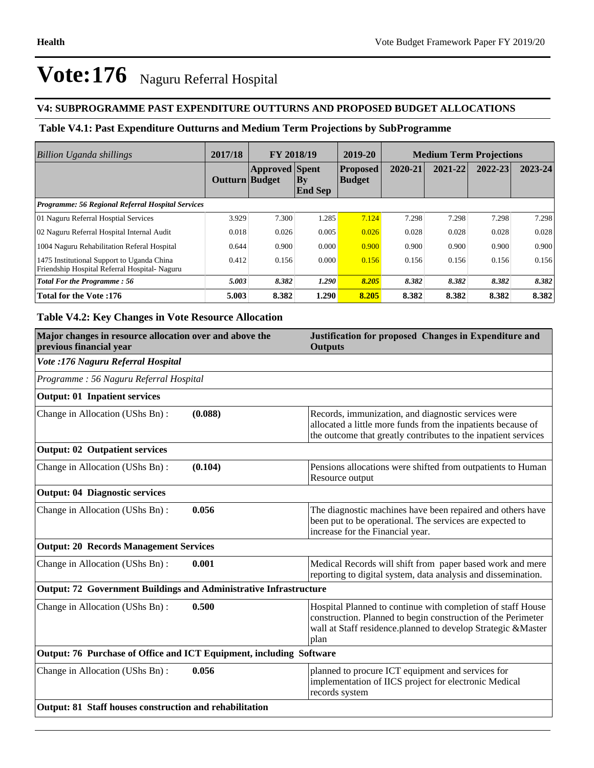## **V4: SUBPROGRAMME PAST EXPENDITURE OUTTURNS AND PROPOSED BUDGET ALLOCATIONS**

## **Table V4.1: Past Expenditure Outturns and Medium Term Projections by SubProgramme**

| Billion Uganda shillings                                                                   | 2017/18        | <b>FY 2018/19</b>     |                                 | 2019-20                          | <b>Medium Term Projections</b> |         |         |             |
|--------------------------------------------------------------------------------------------|----------------|-----------------------|---------------------------------|----------------------------------|--------------------------------|---------|---------|-------------|
|                                                                                            | Outturn Budget | <b>Approved</b> Spent | $\mathbf{By}$<br><b>End Sep</b> | <b>Proposed</b><br><b>Budget</b> | 2020-21                        | 2021-22 | 2022-23 | $2023 - 24$ |
| <b>Programme: 56 Regional Referral Hospital Services</b>                                   |                |                       |                                 |                                  |                                |         |         |             |
| 01 Naguru Referral Hosptial Services                                                       | 3.929          | 7.300                 | 1.285                           | 7.124                            | 7.298                          | 7.298   | 7.298   | 7.298       |
| 02 Naguru Referral Hospital Internal Audit                                                 | 0.018          | 0.026                 | 0.005                           | 0.026                            | 0.028                          | 0.028   | 0.028   | 0.028       |
| 1004 Naguru Rehabilitation Referal Hospital                                                | 0.644          | 0.900                 | 0.000                           | 0.900                            | 0.900                          | 0.900   | 0.900   | 0.900       |
| 1475 Institutional Support to Uganda China<br>Friendship Hospital Referral Hospital-Naguru | 0.412          | 0.156                 | 0.000                           | 0.156                            | 0.156                          | 0.156   | 0.156   | 0.156       |
| <b>Total For the Programme: 56</b>                                                         | 5.003          | 8.382                 | 1.290                           | 8.205                            | 8.382                          | 8.382   | 8.382   | 8.382       |
| <b>Total for the Vote:176</b>                                                              | 5.003          | 8.382                 | 1.290                           | 8.205                            | 8.382                          | 8.382   | 8.382   | 8.382       |

## **Table V4.2: Key Changes in Vote Resource Allocation**

| Major changes in resource allocation over and above the<br>previous financial year |         | Justification for proposed Changes in Expenditure and<br><b>Outputs</b>                                                                                                                             |  |  |  |
|------------------------------------------------------------------------------------|---------|-----------------------------------------------------------------------------------------------------------------------------------------------------------------------------------------------------|--|--|--|
| Vote :176 Naguru Referral Hospital                                                 |         |                                                                                                                                                                                                     |  |  |  |
| Programme: 56 Naguru Referral Hospital                                             |         |                                                                                                                                                                                                     |  |  |  |
| <b>Output: 01 Inpatient services</b>                                               |         |                                                                                                                                                                                                     |  |  |  |
| Change in Allocation (UShs Bn):                                                    | (0.088) | Records, immunization, and diagnostic services were<br>allocated a little more funds from the inpatients because of<br>the outcome that greatly contributes to the inpatient services               |  |  |  |
| <b>Output: 02 Outpatient services</b>                                              |         |                                                                                                                                                                                                     |  |  |  |
| Change in Allocation (UShs Bn):                                                    | (0.104) | Pensions allocations were shifted from outpatients to Human<br>Resource output                                                                                                                      |  |  |  |
| <b>Output: 04 Diagnostic services</b>                                              |         |                                                                                                                                                                                                     |  |  |  |
| Change in Allocation (UShs Bn):                                                    | 0.056   | The diagnostic machines have been repaired and others have<br>been put to be operational. The services are expected to<br>increase for the Financial year.                                          |  |  |  |
| <b>Output: 20 Records Management Services</b>                                      |         |                                                                                                                                                                                                     |  |  |  |
| Change in Allocation (UShs Bn):                                                    | 0.001   | Medical Records will shift from paper based work and mere<br>reporting to digital system, data analysis and dissemination.                                                                          |  |  |  |
| Output: 72 Government Buildings and Administrative Infrastructure                  |         |                                                                                                                                                                                                     |  |  |  |
| Change in Allocation (UShs Bn):                                                    | 0.500   | Hospital Planned to continue with completion of staff House<br>construction. Planned to begin construction of the Perimeter<br>wall at Staff residence.planned to develop Strategic &Master<br>plan |  |  |  |
| Output: 76 Purchase of Office and ICT Equipment, including Software                |         |                                                                                                                                                                                                     |  |  |  |
| Change in Allocation (UShs Bn):                                                    | 0.056   | planned to procure ICT equipment and services for<br>implementation of IICS project for electronic Medical<br>records system                                                                        |  |  |  |
| Output: 81 Staff houses construction and rehabilitation                            |         |                                                                                                                                                                                                     |  |  |  |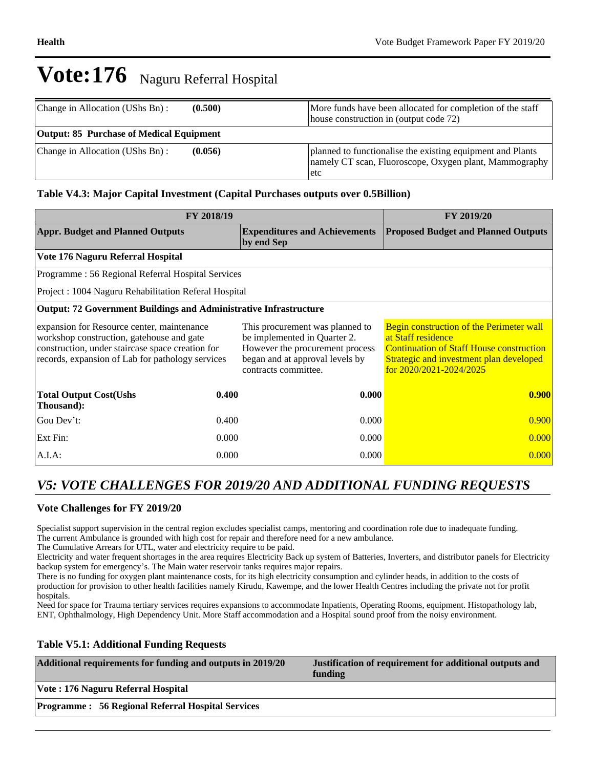| Change in Allocation (UShs Bn):          | (0.500) | More funds have been allocated for completion of the staff<br>house construction in (output code 72)                         |
|------------------------------------------|---------|------------------------------------------------------------------------------------------------------------------------------|
| Output: 85 Purchase of Medical Equipment |         |                                                                                                                              |
| Change in Allocation (UShs Bn):          | (0.056) | planned to functionalise the existing equipment and Plants<br>namely CT scan, Fluoroscope, Oxygen plant, Mammography<br>letc |

## **Table V4.3: Major Capital Investment (Capital Purchases outputs over 0.5Billion)**

| FY 2018/19                                                                                                                                                                                      | <b>FY 2019/20</b> |                                                                                                                                                               |                                                                                                                                                                                             |  |
|-------------------------------------------------------------------------------------------------------------------------------------------------------------------------------------------------|-------------------|---------------------------------------------------------------------------------------------------------------------------------------------------------------|---------------------------------------------------------------------------------------------------------------------------------------------------------------------------------------------|--|
| <b>Appr. Budget and Planned Outputs</b>                                                                                                                                                         |                   | <b>Expenditures and Achievements</b><br>by end Sep                                                                                                            | <b>Proposed Budget and Planned Outputs</b>                                                                                                                                                  |  |
| Vote 176 Naguru Referral Hospital                                                                                                                                                               |                   |                                                                                                                                                               |                                                                                                                                                                                             |  |
| Programme: 56 Regional Referral Hospital Services                                                                                                                                               |                   |                                                                                                                                                               |                                                                                                                                                                                             |  |
| Project: 1004 Naguru Rehabilitation Referal Hospital                                                                                                                                            |                   |                                                                                                                                                               |                                                                                                                                                                                             |  |
| <b>Output: 72 Government Buildings and Administrative Infrastructure</b>                                                                                                                        |                   |                                                                                                                                                               |                                                                                                                                                                                             |  |
| expansion for Resource center, maintenance<br>workshop construction, gatehouse and gate<br>construction, under staircase space creation for<br>records, expansion of Lab for pathology services |                   | This procurement was planned to<br>be implemented in Quarter 2.<br>However the procurement process<br>began and at approval levels by<br>contracts committee. | Begin construction of the Perimeter wall<br>at Staff residence<br><b>Continuation of Staff House construction</b><br>Strategic and investment plan developed<br>for $2020/2021 - 2024/2025$ |  |
| <b>Total Output Cost(Ushs</b><br>Thousand):                                                                                                                                                     | 0.400             | 0.000                                                                                                                                                         | 0.900                                                                                                                                                                                       |  |
| Gou Dev't:                                                                                                                                                                                      | 0.400             | 0.000                                                                                                                                                         | 0.900                                                                                                                                                                                       |  |
| Ext Fin:                                                                                                                                                                                        | 0.000             | 0.000                                                                                                                                                         | 0.000                                                                                                                                                                                       |  |
| $A.I.A$ :                                                                                                                                                                                       | 0.000             | 0.000                                                                                                                                                         | 0.000                                                                                                                                                                                       |  |

## *V5: VOTE CHALLENGES FOR 2019/20 AND ADDITIONAL FUNDING REQUESTS*

### **Vote Challenges for FY 2019/20**

Specialist support supervision in the central region excludes specialist camps, mentoring and coordination role due to inadequate funding. The current Ambulance is grounded with high cost for repair and therefore need for a new ambulance.

The Cumulative Arrears for UTL, water and electricity require to be paid.

Electricity and water frequent shortages in the area requires Electricity Back up system of Batteries, Inverters, and distributor panels for Electricity backup system for emergency's. The Main water reservoir tanks requires major repairs.

There is no funding for oxygen plant maintenance costs, for its high electricity consumption and cylinder heads, in addition to the costs of production for provision to other health facilities namely Kirudu, Kawempe, and the lower Health Centres including the private not for profit hospitals.

Need for space for Trauma tertiary services requires expansions to accommodate Inpatients, Operating Rooms, equipment. Histopathology lab, ENT, Ophthalmology, High Dependency Unit. More Staff accommodation and a Hospital sound proof from the noisy environment.

### **Table V5.1: Additional Funding Requests**

| Additional requirements for funding and outputs in 2019/20 | Justification of requirement for additional outputs and<br>funding |
|------------------------------------------------------------|--------------------------------------------------------------------|
| Vote : 176 Naguru Referral Hospital                        |                                                                    |
| <b>Programme: 56 Regional Referral Hospital Services</b>   |                                                                    |
|                                                            |                                                                    |